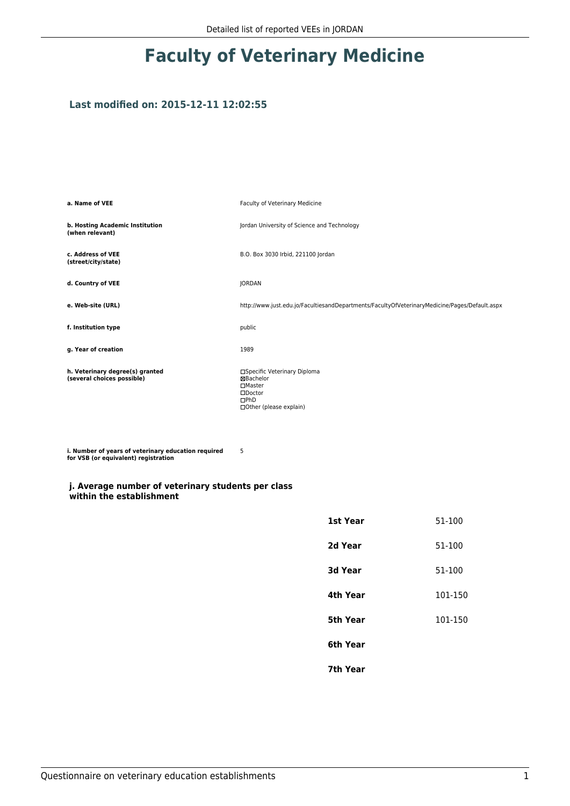## **Faculty of Veterinary Medicine**

## **Last modified on: 2015-12-11 12:02:55**

| a. Name of VEE                                                | Faculty of Veterinary Medicine                                                                                            |
|---------------------------------------------------------------|---------------------------------------------------------------------------------------------------------------------------|
| b. Hosting Academic Institution<br>(when relevant)            | Jordan University of Science and Technology                                                                               |
| c. Address of VEE<br>(street/city/state)                      | B.O. Box 3030 Irbid, 221100 Jordan                                                                                        |
| d. Country of VEE                                             | <b>JORDAN</b>                                                                                                             |
| e. Web-site (URL)                                             | http://www.just.edu.jo/FacultiesandDepartments/FacultyOfVeterinaryMedicine/Pages/Default.aspx                             |
| f. Institution type                                           | public                                                                                                                    |
| g. Year of creation                                           | 1989                                                                                                                      |
| h. Veterinary degree(s) granted<br>(several choices possible) | □Specific Veterinary Diploma<br><b>XBachelor</b><br>□Master<br>$\square$ Doctor<br>$\Box$ PhD<br>□ Other (please explain) |

5

**i. Number of years of veterinary education required for VSB (or equivalent) registration**

## **j. Average number of veterinary students per class within the establishment**

| 1st Year       | 51-100  |
|----------------|---------|
| 2d Year        | 51-100  |
| <b>3d Year</b> | 51-100  |
| 4th Year       | 101-150 |
| 5th Year       | 101-150 |
| 6th Year       |         |
| 7th Year       |         |